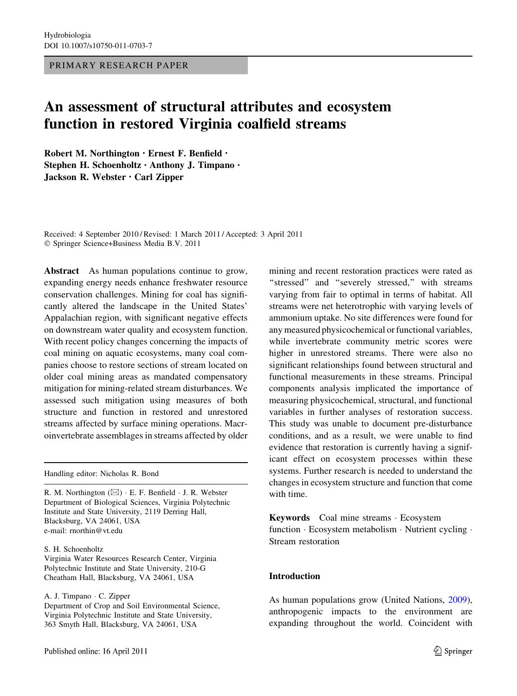PRIMARY RESEARCH PAPER

# An assessment of structural attributes and ecosystem function in restored Virginia coalfield streams

Robert M. Northington • Ernest F. Benfield • Stephen H. Schoenholtz • Anthony J. Timpano • Jackson R. Webster • Carl Zipper

Received: 4 September 2010 / Revised: 1 March 2011 / Accepted: 3 April 2011 © Springer Science+Business Media B.V. 2011

Abstract As human populations continue to grow, expanding energy needs enhance freshwater resource conservation challenges. Mining for coal has significantly altered the landscape in the United States' Appalachian region, with significant negative effects on downstream water quality and ecosystem function. With recent policy changes concerning the impacts of coal mining on aquatic ecosystems, many coal companies choose to restore sections of stream located on older coal mining areas as mandated compensatory mitigation for mining-related stream disturbances. We assessed such mitigation using measures of both structure and function in restored and unrestored streams affected by surface mining operations. Macroinvertebrate assemblages in streams affected by older

Handling editor: Nicholas R. Bond

R. M. Northington  $(\boxtimes) \cdot$  E. F. Benfield  $\cdot$  J. R. Webster Department of Biological Sciences, Virginia Polytechnic Institute and State University, 2119 Derring Hall, Blacksburg, VA 24061, USA e-mail: rnorthin@vt.edu

S. H. Schoenholtz

Virginia Water Resources Research Center, Virginia Polytechnic Institute and State University, 210-G Cheatham Hall, Blacksburg, VA 24061, USA

A. J. Timpano - C. Zipper

Department of Crop and Soil Environmental Science, Virginia Polytechnic Institute and State University, 363 Smyth Hall, Blacksburg, VA 24061, USA

mining and recent restoration practices were rated as "stressed" and "severely stressed," with streams varying from fair to optimal in terms of habitat. All streams were net heterotrophic with varying levels of ammonium uptake. No site differences were found for any measured physicochemical or functional variables, while invertebrate community metric scores were higher in unrestored streams. There were also no significant relationships found between structural and functional measurements in these streams. Principal components analysis implicated the importance of measuring physicochemical, structural, and functional variables in further analyses of restoration success. This study was unable to document pre-disturbance conditions, and as a result, we were unable to find evidence that restoration is currently having a significant effect on ecosystem processes within these systems. Further research is needed to understand the changes in ecosystem structure and function that come with time.

Keywords Coal mine streams - Ecosystem function · Ecosystem metabolism · Nutrient cycling · Stream restoration

# Introduction

As human populations grow (United Nations, [2009](#page-12-0)), anthropogenic impacts to the environment are expanding throughout the world. Coincident with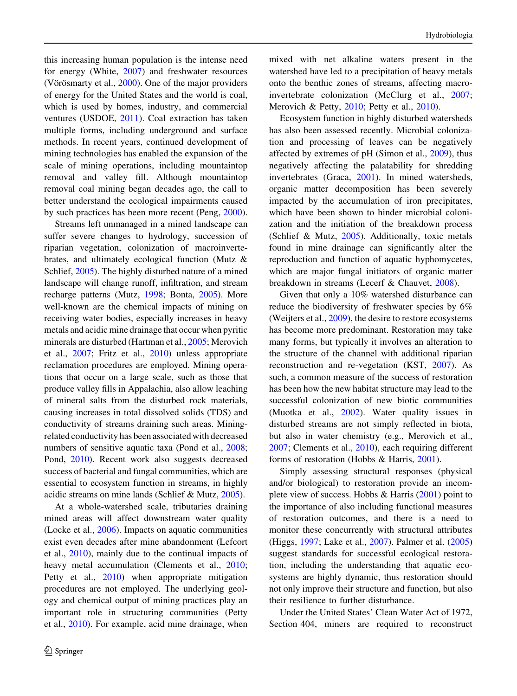this increasing human population is the intense need for energy (White, [2007](#page-12-0)) and freshwater resources (Vörösmarty et al.,  $2000$ ). One of the major providers of energy for the United States and the world is coal, which is used by homes, industry, and commercial ventures (USDOE, [2011](#page-12-0)). Coal extraction has taken multiple forms, including underground and surface methods. In recent years, continued development of mining technologies has enabled the expansion of the scale of mining operations, including mountaintop removal and valley fill. Although mountaintop removal coal mining began decades ago, the call to better understand the ecological impairments caused by such practices has been more recent (Peng, [2000](#page-11-0)).

Streams left unmanaged in a mined landscape can suffer severe changes to hydrology, succession of riparian vegetation, colonization of macroinvertebrates, and ultimately ecological function (Mutz & Schlief, [2005\)](#page-11-0). The highly disturbed nature of a mined landscape will change runoff, infiltration, and stream recharge patterns (Mutz, [1998;](#page-11-0) Bonta, [2005](#page-10-0)). More well-known are the chemical impacts of mining on receiving water bodies, especially increases in heavy metals and acidic mine drainage that occur when pyritic minerals are disturbed (Hartman et al., [2005;](#page-11-0) Merovich et al., [2007](#page-11-0); Fritz et al., [2010](#page-11-0)) unless appropriate reclamation procedures are employed. Mining operations that occur on a large scale, such as those that produce valley fills in Appalachia, also allow leaching of mineral salts from the disturbed rock materials, causing increases in total dissolved solids (TDS) and conductivity of streams draining such areas. Miningrelated conductivity has been associated with decreased numbers of sensitive aquatic taxa (Pond et al., [2008](#page-12-0); Pond, [2010](#page-12-0)). Recent work also suggests decreased success of bacterial and fungal communities, which are essential to ecosystem function in streams, in highly acidic streams on mine lands (Schlief & Mutz, [2005\)](#page-12-0).

At a whole-watershed scale, tributaries draining mined areas will affect downstream water quality (Locke et al., [2006\)](#page-11-0). Impacts on aquatic communities exist even decades after mine abandonment (Lefcort et al., [2010](#page-11-0)), mainly due to the continual impacts of heavy metal accumulation (Clements et al., [2010](#page-10-0); Petty et al., [2010\)](#page-12-0) when appropriate mitigation procedures are not employed. The underlying geology and chemical output of mining practices play an important role in structuring communities (Petty et al., [2010](#page-12-0)). For example, acid mine drainage, when

mixed with net alkaline waters present in the watershed have led to a precipitation of heavy metals onto the benthic zones of streams, affecting macroinvertebrate colonization (McClurg et al., [2007](#page-11-0); Merovich & Petty, [2010;](#page-11-0) Petty et al., [2010\)](#page-12-0).

Ecosystem function in highly disturbed watersheds has also been assessed recently. Microbial colonization and processing of leaves can be negatively affected by extremes of pH (Simon et al., [2009](#page-12-0)), thus negatively affecting the palatability for shredding invertebrates (Graca, [2001\)](#page-11-0). In mined watersheds, organic matter decomposition has been severely impacted by the accumulation of iron precipitates, which have been shown to hinder microbial colonization and the initiation of the breakdown process (Schlief & Mutz, [2005\)](#page-12-0). Additionally, toxic metals found in mine drainage can significantly alter the reproduction and function of aquatic hyphomycetes, which are major fungal initiators of organic matter breakdown in streams (Lecerf & Chauvet, [2008\)](#page-11-0).

Given that only a 10% watershed disturbance can reduce the biodiversity of freshwater species by 6% (Weijters et al., [2009\)](#page-12-0), the desire to restore ecosystems has become more predominant. Restoration may take many forms, but typically it involves an alteration to the structure of the channel with additional riparian reconstruction and re-vegetation (KST, [2007\)](#page-11-0). As such, a common measure of the success of restoration has been how the new habitat structure may lead to the successful colonization of new biotic communities (Muotka et al., [2002\)](#page-11-0). Water quality issues in disturbed streams are not simply reflected in biota, but also in water chemistry (e.g., Merovich et al., [2007;](#page-11-0) Clements et al., [2010](#page-10-0)), each requiring different forms of restoration (Hobbs & Harris, [2001\)](#page-11-0).

Simply assessing structural responses (physical and/or biological) to restoration provide an incomplete view of success. Hobbs & Harris ([2001\)](#page-11-0) point to the importance of also including functional measures of restoration outcomes, and there is a need to monitor these concurrently with structural attributes (Higgs, [1997](#page-11-0); Lake et al., [2007](#page-11-0)). Palmer et al. ([2005\)](#page-11-0) suggest standards for successful ecological restoration, including the understanding that aquatic ecosystems are highly dynamic, thus restoration should not only improve their structure and function, but also their resilience to further disturbance.

Under the United States' Clean Water Act of 1972, Section 404, miners are required to reconstruct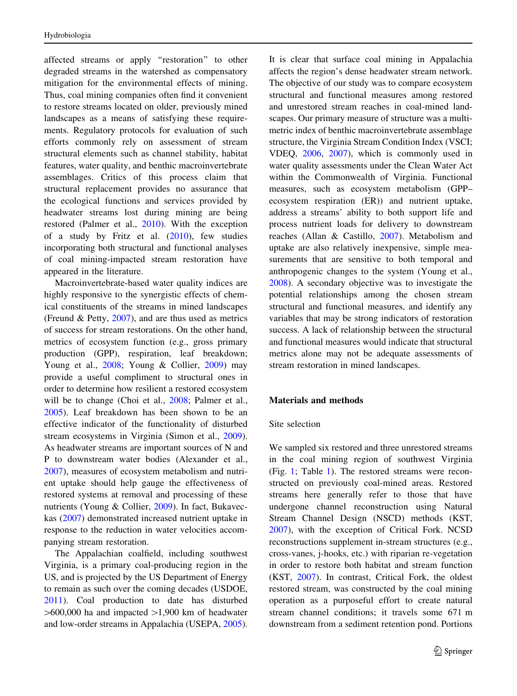affected streams or apply ''restoration'' to other degraded streams in the watershed as compensatory mitigation for the environmental effects of mining. Thus, coal mining companies often find it convenient to restore streams located on older, previously mined landscapes as a means of satisfying these requirements. Regulatory protocols for evaluation of such efforts commonly rely on assessment of stream structural elements such as channel stability, habitat features, water quality, and benthic macroinvertebrate assemblages. Critics of this process claim that structural replacement provides no assurance that the ecological functions and services provided by headwater streams lost during mining are being restored (Palmer et al., [2010](#page-11-0)). With the exception of a study by Fritz et al. ([2010\)](#page-11-0), few studies incorporating both structural and functional analyses of coal mining-impacted stream restoration have appeared in the literature.

Macroinvertebrate-based water quality indices are highly responsive to the synergistic effects of chemical constituents of the streams in mined landscapes (Freund & Petty, [2007](#page-11-0)), and are thus used as metrics of success for stream restorations. On the other hand, metrics of ecosystem function (e.g., gross primary production (GPP), respiration, leaf breakdown; Young et al., [2008](#page-12-0); Young & Collier, [2009\)](#page-12-0) may provide a useful compliment to structural ones in order to determine how resilient a restored ecosystem will be to change (Choi et al., [2008](#page-10-0); Palmer et al., [2005\)](#page-11-0). Leaf breakdown has been shown to be an effective indicator of the functionality of disturbed stream ecosystems in Virginia (Simon et al., [2009](#page-12-0)). As headwater streams are important sources of N and P to downstream water bodies (Alexander et al., [2007\)](#page-10-0), measures of ecosystem metabolism and nutrient uptake should help gauge the effectiveness of restored systems at removal and processing of these nutrients (Young & Collier, [2009\)](#page-12-0). In fact, Bukaveckas [\(2007](#page-10-0)) demonstrated increased nutrient uptake in response to the reduction in water velocities accompanying stream restoration.

The Appalachian coalfield, including southwest Virginia, is a primary coal-producing region in the US, and is projected by the US Department of Energy to remain as such over the coming decades (USDOE, [2011\)](#page-12-0). Coal production to date has disturbed  $>600,000$  ha and impacted  $>1,900$  km of headwater and low-order streams in Appalachia (USEPA, [2005](#page-12-0)).

It is clear that surface coal mining in Appalachia affects the region's dense headwater stream network. The objective of our study was to compare ecosystem structural and functional measures among restored and unrestored stream reaches in coal-mined landscapes. Our primary measure of structure was a multimetric index of benthic macroinvertebrate assemblage structure, the Virginia Stream Condition Index (VSCI; VDEQ, [2006](#page-12-0), [2007](#page-12-0)), which is commonly used in water quality assessments under the Clean Water Act within the Commonwealth of Virginia. Functional measures, such as ecosystem metabolism (GPP– ecosystem respiration (ER)) and nutrient uptake, address a streams' ability to both support life and process nutrient loads for delivery to downstream reaches (Allan & Castillo, [2007](#page-10-0)). Metabolism and uptake are also relatively inexpensive, simple measurements that are sensitive to both temporal and anthropogenic changes to the system (Young et al., [2008\)](#page-12-0). A secondary objective was to investigate the potential relationships among the chosen stream structural and functional measures, and identify any variables that may be strong indicators of restoration success. A lack of relationship between the structural and functional measures would indicate that structural metrics alone may not be adequate assessments of stream restoration in mined landscapes.

## Materials and methods

#### Site selection

We sampled six restored and three unrestored streams in the coal mining region of southwest Virginia (Fig. [1](#page-3-0); Table [1](#page-3-0)). The restored streams were reconstructed on previously coal-mined areas. Restored streams here generally refer to those that have undergone channel reconstruction using Natural Stream Channel Design (NSCD) methods (KST, [2007\)](#page-11-0), with the exception of Critical Fork. NCSD reconstructions supplement in-stream structures (e.g., cross-vanes, j-hooks, etc.) with riparian re-vegetation in order to restore both habitat and stream function (KST, [2007](#page-11-0)). In contrast, Critical Fork, the oldest restored stream, was constructed by the coal mining operation as a purposeful effort to create natural stream channel conditions; it travels some 671 m downstream from a sediment retention pond. Portions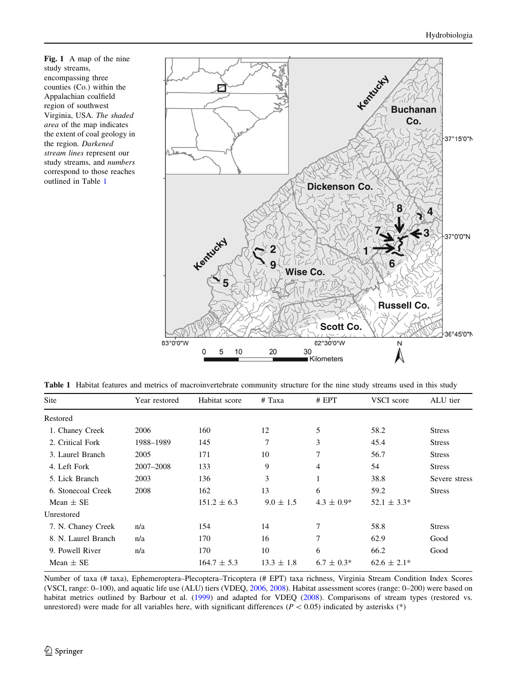<span id="page-3-0"></span>Fig. 1 A map of the nine study streams, encompassing three counties (Co.) within the Appalachian coalfield region of southwest Virginia, USA. The shaded area of the map indicates the extent of coal geology in the region. Darkened stream lines represent our study streams, and numbers correspond to those reaches outlined in Table 1



Table 1 Habitat features and metrics of macroinvertebrate community structure for the nine study streams used in this study

| Site                | Year restored | Habitat score   | # Taxa         | # EPT          | VSCI score       | ALU tier      |
|---------------------|---------------|-----------------|----------------|----------------|------------------|---------------|
| Restored            |               |                 |                |                |                  |               |
| 1. Chaney Creek     | 2006          | 160             | 12             | 5              | 58.2             | <b>Stress</b> |
| 2. Critical Fork    | 1988-1989     | 145             | 7              | 3              | 45.4             | <b>Stress</b> |
| 3. Laurel Branch    | 2005          | 171             | 10             | 7              | 56.7             | <b>Stress</b> |
| 4. Left Fork        | 2007-2008     | 133             | 9              | 4              | 54               | <b>Stress</b> |
| 5. Lick Branch      | 2003          | 136             | 3              |                | 38.8             | Severe stress |
| 6. Stonecoal Creek  | 2008          | 162             | 13             | 6              | 59.2             | <b>Stress</b> |
| Mean $\pm$ SE       |               | $151.2 \pm 6.3$ | $9.0 \pm 1.5$  | $4.3 \pm 0.9*$ | $52.1 \pm 3.3^*$ |               |
| Unrestored          |               |                 |                |                |                  |               |
| 7. N. Chaney Creek  | n/a           | 154             | 14             | 7              | 58.8             | <b>Stress</b> |
| 8. N. Laurel Branch | n/a           | 170             | 16             | 7              | 62.9             | Good          |
| 9. Powell River     | n/a           | 170             | 10             | 6              | 66.2             | Good          |
| Mean $\pm$ SE       |               | $164.7 \pm 5.3$ | $13.3 \pm 1.8$ | $6.7 \pm 0.3*$ | $62.6 \pm 2.1*$  |               |
|                     |               |                 |                |                |                  |               |

Number of taxa (# taxa), Ephemeroptera–Plecoptera–Tricoptera (# EPT) taxa richness, Virginia Stream Condition Index Scores (VSCI, range: 0–100), and aquatic life use (ALU) tiers (VDEQ, [2006](#page-12-0), [2008\)](#page-12-0). Habitat assessment scores (range: 0–200) were based on habitat metrics outlined by Barbour et al. ([1999\)](#page-10-0) and adapted for VDEQ [\(2008](#page-12-0)). Comparisons of stream types (restored vs. unrestored) were made for all variables here, with significant differences ( $P \lt 0.05$ ) indicated by asterisks (\*)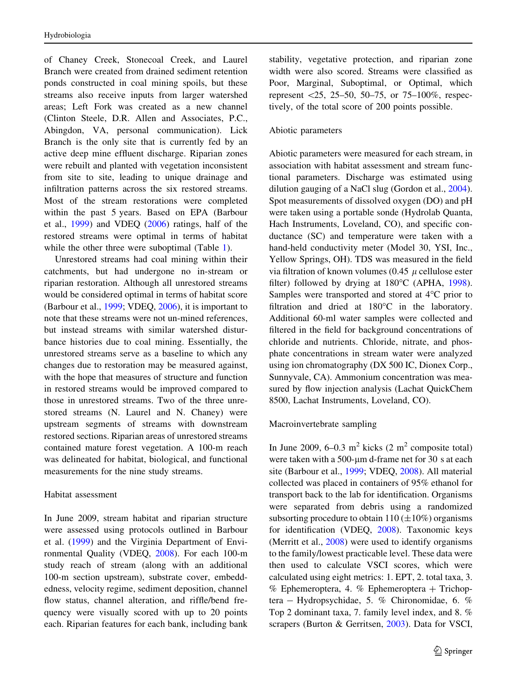of Chaney Creek, Stonecoal Creek, and Laurel Branch were created from drained sediment retention ponds constructed in coal mining spoils, but these streams also receive inputs from larger watershed areas; Left Fork was created as a new channel (Clinton Steele, D.R. Allen and Associates, P.C., Abingdon, VA, personal communication). Lick Branch is the only site that is currently fed by an active deep mine effluent discharge. Riparian zones were rebuilt and planted with vegetation inconsistent from site to site, leading to unique drainage and infiltration patterns across the six restored streams. Most of the stream restorations were completed within the past 5 years. Based on EPA (Barbour et al., [1999\)](#page-10-0) and VDEQ [\(2006](#page-12-0)) ratings, half of the restored streams were optimal in terms of habitat while the other three were suboptimal (Table [1](#page-3-0)).

Unrestored streams had coal mining within their catchments, but had undergone no in-stream or riparian restoration. Although all unrestored streams would be considered optimal in terms of habitat score (Barbour et al., [1999;](#page-10-0) VDEQ, [2006\)](#page-12-0), it is important to note that these streams were not un-mined references, but instead streams with similar watershed disturbance histories due to coal mining. Essentially, the unrestored streams serve as a baseline to which any changes due to restoration may be measured against, with the hope that measures of structure and function in restored streams would be improved compared to those in unrestored streams. Two of the three unrestored streams (N. Laurel and N. Chaney) were upstream segments of streams with downstream restored sections. Riparian areas of unrestored streams contained mature forest vegetation. A 100-m reach was delineated for habitat, biological, and functional measurements for the nine study streams.

# Habitat assessment

In June 2009, stream habitat and riparian structure were assessed using protocols outlined in Barbour et al. ([1999\)](#page-10-0) and the Virginia Department of Environmental Quality (VDEQ, [2008](#page-12-0)). For each 100-m study reach of stream (along with an additional 100-m section upstream), substrate cover, embeddedness, velocity regime, sediment deposition, channel flow status, channel alteration, and riffle/bend frequency were visually scored with up to 20 points each. Riparian features for each bank, including bank stability, vegetative protection, and riparian zone width were also scored. Streams were classified as Poor, Marginal, Suboptimal, or Optimal, which represent  $\langle 25, 25-50, 50-75,$  or  $75-100\%$ , respectively, of the total score of 200 points possible.

## Abiotic parameters

Abiotic parameters were measured for each stream, in association with habitat assessment and stream functional parameters. Discharge was estimated using dilution gauging of a NaCl slug (Gordon et al., [2004](#page-11-0)). Spot measurements of dissolved oxygen (DO) and pH were taken using a portable sonde (Hydrolab Quanta, Hach Instruments, Loveland, CO), and specific conductance (SC) and temperature were taken with a hand-held conductivity meter (Model 30, YSI, Inc., Yellow Springs, OH). TDS was measured in the field via filtration of known volumes (0.45  $\mu$  cellulose ester filter) followed by drying at  $180^{\circ}$ C (APHA, [1998](#page-10-0)). Samples were transported and stored at  $4^{\circ}$ C prior to filtration and dried at  $180^{\circ}$ C in the laboratory. Additional 60-ml water samples were collected and filtered in the field for background concentrations of chloride and nutrients. Chloride, nitrate, and phosphate concentrations in stream water were analyzed using ion chromatography (DX 500 IC, Dionex Corp., Sunnyvale, CA). Ammonium concentration was measured by flow injection analysis (Lachat QuickChem 8500, Lachat Instruments, Loveland, CO).

# Macroinvertebrate sampling

In June 2009,  $6-0.3$  m<sup>2</sup> kicks  $(2 \text{ m}^2 \text{ composite total})$ were taken with a  $500$ - $\mu$ m d-frame net for 30 s at each site (Barbour et al., [1999](#page-10-0); VDEQ, [2008](#page-12-0)). All material collected was placed in containers of 95% ethanol for transport back to the lab for identification. Organisms were separated from debris using a randomized subsorting procedure to obtain  $110 (\pm 10\%)$  organisms for identification (VDEQ, [2008](#page-12-0)). Taxonomic keys (Merritt et al., [2008\)](#page-11-0) were used to identify organisms to the family/lowest practicable level. These data were then used to calculate VSCI scores, which were calculated using eight metrics: 1. EPT, 2. total taxa, 3. % Ephemeroptera, 4. % Ephemeroptera  $+$  Trichoptera - Hydropsychidae, 5. % Chironomidae, 6. % Top 2 dominant taxa, 7. family level index, and 8. % scrapers (Burton & Gerritsen, [2003](#page-10-0)). Data for VSCI,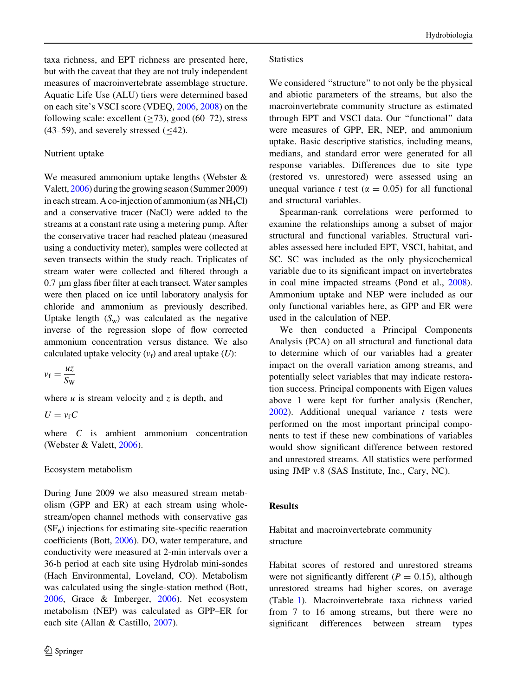taxa richness, and EPT richness are presented here, but with the caveat that they are not truly independent measures of macroinvertebrate assemblage structure. Aquatic Life Use (ALU) tiers were determined based on each site's VSCI score (VDEQ, [2006](#page-12-0), [2008](#page-12-0)) on the following scale: excellent  $(\geq 73)$ , good (60–72), stress  $(43–59)$ , and severely stressed  $(42)$ .

# Nutrient uptake

We measured ammonium uptake lengths (Webster & Valett, [2006](#page-12-0)) during the growing season (Summer 2009) in each stream. A co-injection of ammonium (as  $NH_4Cl$ ) and a conservative tracer (NaCl) were added to the streams at a constant rate using a metering pump. After the conservative tracer had reached plateau (measured using a conductivity meter), samples were collected at seven transects within the study reach. Triplicates of stream water were collected and filtered through a 0.7 µm glass fiber filter at each transect. Water samples were then placed on ice until laboratory analysis for chloride and ammonium as previously described. Uptake length  $(S_w)$  was calculated as the negative inverse of the regression slope of flow corrected ammonium concentration versus distance. We also calculated uptake velocity  $(v_f)$  and areal uptake  $(U)$ :

$$
v_{\rm f} = \frac{uz}{S_{\rm W}}
$$

where  $u$  is stream velocity and  $z$  is depth, and

$$
U=v_{\rm f} C
$$

where C is ambient ammonium concentration (Webster & Valett, [2006\)](#page-12-0).

# Ecosystem metabolism

During June 2009 we also measured stream metabolism (GPP and ER) at each stream using wholestream/open channel methods with conservative gas  $(SF_6)$  injections for estimating site-specific reaeration coefficients (Bott, [2006](#page-10-0)). DO, water temperature, and conductivity were measured at 2-min intervals over a 36-h period at each site using Hydrolab mini-sondes (Hach Environmental, Loveland, CO). Metabolism was calculated using the single-station method (Bott, [2006,](#page-10-0) Grace & Imberger, [2006\)](#page-11-0). Net ecosystem metabolism (NEP) was calculated as GPP–ER for each site (Allan & Castillo, [2007\)](#page-10-0).

# **Statistics**

We considered "structure" to not only be the physical and abiotic parameters of the streams, but also the macroinvertebrate community structure as estimated through EPT and VSCI data. Our ''functional'' data were measures of GPP, ER, NEP, and ammonium uptake. Basic descriptive statistics, including means, medians, and standard error were generated for all response variables. Differences due to site type (restored vs. unrestored) were assessed using an unequal variance t test ( $\alpha = 0.05$ ) for all functional and structural variables.

Spearman-rank correlations were performed to examine the relationships among a subset of major structural and functional variables. Structural variables assessed here included EPT, VSCI, habitat, and SC. SC was included as the only physicochemical variable due to its significant impact on invertebrates in coal mine impacted streams (Pond et al., [2008](#page-12-0)). Ammonium uptake and NEP were included as our only functional variables here, as GPP and ER were used in the calculation of NEP.

We then conducted a Principal Components Analysis (PCA) on all structural and functional data to determine which of our variables had a greater impact on the overall variation among streams, and potentially select variables that may indicate restoration success. Principal components with Eigen values above 1 were kept for further analysis (Rencher, [2002\)](#page-12-0). Additional unequal variance  $t$  tests were performed on the most important principal components to test if these new combinations of variables would show significant difference between restored and unrestored streams. All statistics were performed using JMP v.8 (SAS Institute, Inc., Cary, NC).

# Results

Habitat and macroinvertebrate community structure

Habitat scores of restored and unrestored streams were not significantly different ( $P = 0.15$ ), although unrestored streams had higher scores, on average (Table [1](#page-3-0)). Macroinvertebrate taxa richness varied from 7 to 16 among streams, but there were no significant differences between stream types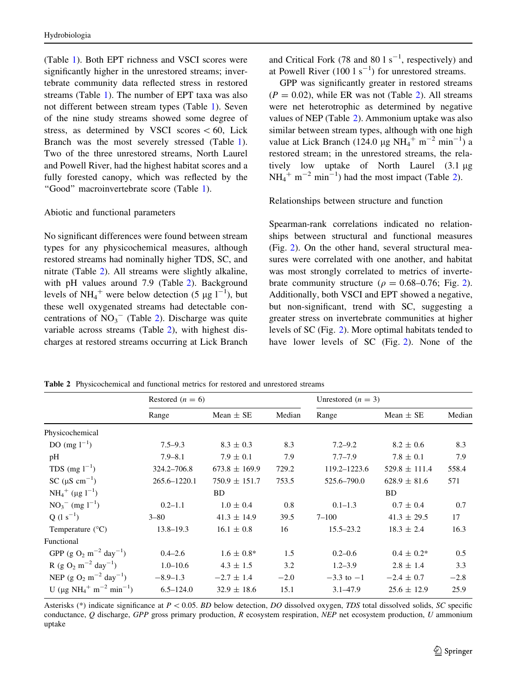<span id="page-6-0"></span>(Table [1](#page-3-0)). Both EPT richness and VSCI scores were significantly higher in the unrestored streams; invertebrate community data reflected stress in restored streams (Table [1\)](#page-3-0). The number of EPT taxa was also not different between stream types (Table [1](#page-3-0)). Seven of the nine study streams showed some degree of stress, as determined by VSCI scores  $< 60$ , Lick Branch was the most severely stressed (Table [1](#page-3-0)). Two of the three unrestored streams, North Laurel and Powell River, had the highest habitat scores and a fully forested canopy, which was reflected by the ''Good'' macroinvertebrate score (Table [1](#page-3-0)).

# Abiotic and functional parameters

No significant differences were found between stream types for any physicochemical measures, although restored streams had nominally higher TDS, SC, and nitrate (Table 2). All streams were slightly alkaline, with pH values around 7.9 (Table 2). Background levels of  $NH_4^+$  were below detection (5 µg l<sup>-1</sup>), but these well oxygenated streams had detectable concentrations of  $NO<sub>3</sub><sup>-</sup>$  (Table 2). Discharge was quite variable across streams (Table 2), with highest discharges at restored streams occurring at Lick Branch and Critical Fork (78 and 80  $1 \text{ s}^{-1}$ , respectively) and at Powell River  $(100 \ 1 \ s^{-1})$  for unrestored streams.

GPP was significantly greater in restored streams  $(P = 0.02)$ , while ER was not (Table 2). All streams were net heterotrophic as determined by negative values of NEP (Table 2). Ammonium uptake was also similar between stream types, although with one high value at Lick Branch (124.0  $\mu$ g NH<sub>4</sub><sup>+</sup> m<sup>-2</sup> min<sup>-1</sup>) a restored stream; in the unrestored streams, the relatively low uptake of North Laurel  $(3.1 \text{ µg})$  $NH_4^+$  m<sup>-2</sup> min<sup>-1</sup>) had the most impact (Table 2).

## Relationships between structure and function

Spearman-rank correlations indicated no relationships between structural and functional measures (Fig. [2](#page-7-0)). On the other hand, several structural measures were correlated with one another, and habitat was most strongly correlated to metrics of invertebrate community structure ( $\rho = 0.68{\text -}0.76$ ; Fig. [2](#page-7-0)). Additionally, both VSCI and EPT showed a negative, but non-significant, trend with SC, suggesting a greater stress on invertebrate communities at higher levels of SC (Fig. [2\)](#page-7-0). More optimal habitats tended to have lower levels of SC (Fig. [2\)](#page-7-0). None of the

Table 2 Physicochemical and functional metrics for restored and unrestored streams

|                                                                        | Restored $(n = 6)$ |                   | Unrestored $(n = 3)$ |                |                   |        |
|------------------------------------------------------------------------|--------------------|-------------------|----------------------|----------------|-------------------|--------|
|                                                                        | Range              | Mean $\pm$ SE     | Median               | Range          | Mean $\pm$ SE     | Median |
| Physicochemical                                                        |                    |                   |                      |                |                   |        |
| DO $(mg 1^{-1})$                                                       | $7.5 - 9.3$        | $8.3 \pm 0.3$     | 8.3                  | $7.2 - 9.2$    | $8.2 \pm 0.6$     | 8.3    |
| pH                                                                     | $7.9 - 8.1$        | $7.9 \pm 0.1$     | 7.9                  | $7.7 - 7.9$    | $7.8 \pm 0.1$     | 7.9    |
| TDS $(mg l^{-1})$                                                      | 324.2-706.8        | $673.8 \pm 169.9$ | 729.2                | 119.2-1223.6   | $529.8 \pm 111.4$ | 558.4  |
| SC ( $\mu$ S cm <sup>-1</sup> )                                        | 265.6-1220.1       | $750.9 \pm 151.7$ | 753.5                | 525.6-790.0    | $628.9 \pm 81.6$  | 571    |
| $NH_4^+$ (µg $1^{-1}$ )                                                |                    | <b>BD</b>         |                      |                | <b>BD</b>         |        |
| $NO_3^-$ (mg $l^{-1}$ )                                                | $0.2 - 1.1$        | $1.0 \pm 0.4$     | 0.8                  | $0.1 - 1.3$    | $0.7 \pm 0.4$     | 0.7    |
| $Q$ (1 s <sup>-1</sup> )                                               | $3 - 80$           | $41.3 \pm 14.9$   | 39.5                 | $7 - 100$      | $41.3 \pm 29.5$   | 17     |
| Temperature $(^{\circ}C)$                                              | $13.8 - 19.3$      | $16.1 \pm 0.8$    | 16                   | $15.5 - 23.2$  | $18.3 \pm 2.4$    | 16.3   |
| Functional                                                             |                    |                   |                      |                |                   |        |
| GPP (g $O_2$ m <sup>-2</sup> day <sup>-1</sup> )                       | $0.4 - 2.6$        | $1.6 \pm 0.8^*$   | 1.5                  | $0.2 - 0.6$    | $0.4 \pm 0.2^*$   | 0.5    |
| R (g O <sub>2</sub> m <sup>-2</sup> day <sup>-1</sup> )                | $1.0 - 10.6$       | $4.3 \pm 1.5$     | 3.2                  | $1.2 - 3.9$    | $2.8 \pm 1.4$     | 3.3    |
| NEP (g O <sub>2</sub> m <sup>-2</sup> day <sup>-1</sup> )              | $-8.9-1.3$         | $-2.7 \pm 1.4$    | $-2.0$               | $-3.3$ to $-1$ | $-2.4 \pm 0.7$    | $-2.8$ |
| U (µg NH <sub>4</sub> <sup>+</sup> m <sup>-2</sup> min <sup>-1</sup> ) | $6.5 - 124.0$      | $32.9 \pm 18.6$   | 15.1                 | $3.1 - 47.9$   | $25.6 \pm 12.9$   | 25.9   |
|                                                                        |                    |                   |                      |                |                   |        |

Asterisks (\*) indicate significance at  $P < 0.05$ . BD below detection, DO dissolved oxygen, TDS total dissolved solids, SC specific conductance,  $Q$  discharge, GPP gross primary production,  $R$  ecosystem respiration,  $NEP$  net ecosystem production,  $U$  ammonium uptake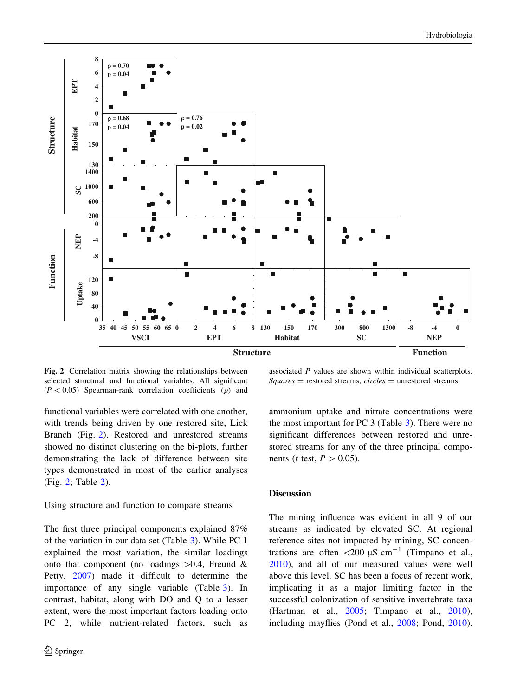<span id="page-7-0"></span>

Fig. 2 Correlation matrix showing the relationships between selected structural and functional variables. All significant  $(P < 0.05)$  Spearman-rank correlation coefficients ( $\rho$ ) and

functional variables were correlated with one another, with trends being driven by one restored site, Lick Branch (Fig. 2). Restored and unrestored streams showed no distinct clustering on the bi-plots, further demonstrating the lack of difference between site types demonstrated in most of the earlier analyses (Fig. 2; Table [2](#page-6-0)).

Using structure and function to compare streams

The first three principal components explained 87% of the variation in our data set (Table [3](#page-8-0)). While PC 1 explained the most variation, the similar loadings onto that component (no loadings  $>0.4$ , Freund & Petty, [2007\)](#page-11-0) made it difficult to determine the importance of any single variable (Table [3\)](#page-8-0). In contrast, habitat, along with DO and Q to a lesser extent, were the most important factors loading onto PC 2, while nutrient-related factors, such as

associated P values are shown within individual scatterplots.  $Squares = restored streams, circles = unrestored streams$ 

ammonium uptake and nitrate concentrations were the most important for PC 3 (Table [3](#page-8-0)). There were no significant differences between restored and unrestored streams for any of the three principal components (*t* test,  $P > 0.05$ ).

# Discussion

The mining influence was evident in all 9 of our streams as indicated by elevated SC. At regional reference sites not impacted by mining, SC concentrations are often  $\langle 200 \mu S \text{ cm}^{-1}$  (Timpano et al., [2010\)](#page-12-0), and all of our measured values were well above this level. SC has been a focus of recent work, implicating it as a major limiting factor in the successful colonization of sensitive invertebrate taxa (Hartman et al., [2005;](#page-11-0) Timpano et al., [2010](#page-12-0)), including mayflies (Pond et al., [2008;](#page-12-0) Pond, [2010](#page-12-0)).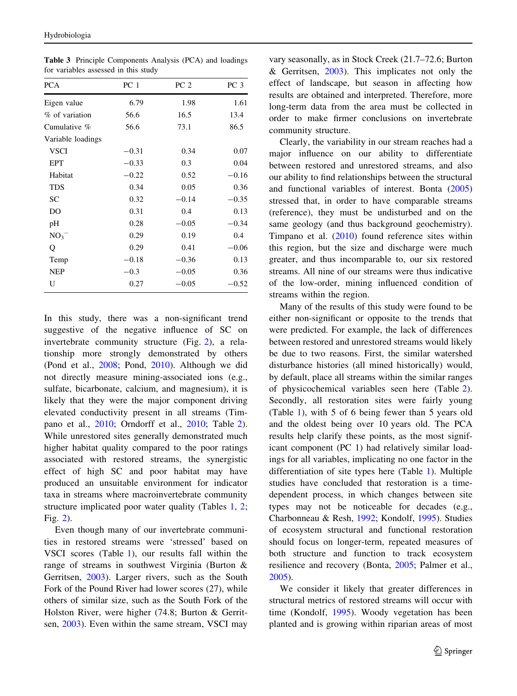| <b>PCA</b>        | PC 1    | PC <sub>2</sub> | PC <sub>3</sub> |
|-------------------|---------|-----------------|-----------------|
| Eigen value       | 6.79    | 1.98            | 1.61            |
| % of variation    | 56.6    | 16.5            | 13.4            |
| Cumulative %      | 56.6    | 73.1            | 86.5            |
| Variable loadings |         |                 |                 |
| <b>VSCI</b>       | $-0.31$ | 0.34            | 0.07            |
| <b>EPT</b>        | $-0.33$ | 0.3             | 0.04            |
| Habitat           | $-0.22$ | 0.52            | $-0.16$         |
| TDS               | 0.34    | 0.05            | 0.36            |
| SC                | 0.32    | $-0.14$         | $-0.35$         |
| DO                | 0.31    | 0.4             | 0.13            |
| pH                | 0.28    | $-0.05$         | $-0.34$         |
| $NO_3^-$          | 0.29    | 0.19            | 0.4             |
| Q                 | 0.29    | 0.41            | $-0.06$         |
| Temp              | $-0.18$ | $-0.36$         | 0.13            |
| <b>NEP</b>        | $-0.3$  | $-0.05$         | 0.36            |
| U                 | 0.27    | $-0.05$         | $-0.52$         |
|                   |         |                 |                 |

<span id="page-8-0"></span>Table 3 Principle Components Analysis (PCA) and loadings for variables assessed in this study

In this study, there was a non-significant trend suggestive of the negative influence of SC on invertebrate community structure (Fig. [2](#page-7-0)), a relationship more strongly demonstrated by others (Pond et al., [2008](#page-12-0); Pond, [2010\)](#page-12-0). Although we did not directly measure mining-associated ions (e.g., sulfate, bicarbonate, calcium, and magnesium), it is likely that they were the major component driving elevated conductivity present in all streams (Timpano et al., [2010](#page-12-0); Orndorff et al., [2010;](#page-11-0) Table [2](#page-6-0)). While unrestored sites generally demonstrated much higher habitat quality compared to the poor ratings associated with restored streams, the synergistic effect of high SC and poor habitat may have produced an unsuitable environment for indicator taxa in streams where macroinvertebrate community structure implicated poor water quality (Tables [1](#page-3-0), [2](#page-6-0); Fig. [2\)](#page-7-0).

Even though many of our invertebrate communities in restored streams were 'stressed' based on VSCI scores (Table [1](#page-3-0)), our results fall within the range of streams in southwest Virginia (Burton & Gerritsen, [2003\)](#page-10-0). Larger rivers, such as the South Fork of the Pound River had lower scores (27), while others of similar size, such as the South Fork of the Holston River, were higher (74.8; Burton & Gerritsen, [2003\)](#page-10-0). Even within the same stream, VSCI may vary seasonally, as in Stock Creek (21.7–72.6; Burton & Gerritsen, [2003\)](#page-10-0). This implicates not only the effect of landscape, but season in affecting how results are obtained and interpreted. Therefore, more long-term data from the area must be collected in order to make firmer conclusions on invertebrate community structure.

Clearly, the variability in our stream reaches had a major influence on our ability to differentiate between restored and unrestored streams, and also our ability to find relationships between the structural and functional variables of interest. Bonta ([2005\)](#page-10-0) stressed that, in order to have comparable streams (reference), they must be undisturbed and on the same geology (and thus background geochemistry). Timpano et al. ([2010\)](#page-12-0) found reference sites within this region, but the size and discharge were much greater, and thus incomparable to, our six restored streams. All nine of our streams were thus indicative of the low-order, mining influenced condition of streams within the region.

Many of the results of this study were found to be either non-significant or opposite to the trends that were predicted. For example, the lack of differences between restored and unrestored streams would likely be due to two reasons. First, the similar watershed disturbance histories (all mined historically) would, by default, place all streams within the similar ranges of physicochemical variables seen here (Table [2](#page-6-0)). Secondly, all restoration sites were fairly young (Table [1](#page-3-0)), with 5 of 6 being fewer than 5 years old and the oldest being over 10 years old. The PCA results help clarify these points, as the most significant component (PC 1) had relatively similar loadings for all variables, implicating no one factor in the differentiation of site types here (Table [1](#page-3-0)). Multiple studies have concluded that restoration is a timedependent process, in which changes between site types may not be noticeable for decades (e.g., Charbonneau & Resh, [1992](#page-10-0); Kondolf, [1995](#page-11-0)). Studies of ecosystem structural and functional restoration should focus on longer-term, repeated measures of both structure and function to track ecosystem resilience and recovery (Bonta, [2005](#page-10-0); Palmer et al., [2005\)](#page-11-0).

We consider it likely that greater differences in structural metrics of restored streams will occur with time (Kondolf, [1995\)](#page-11-0). Woody vegetation has been planted and is growing within riparian areas of most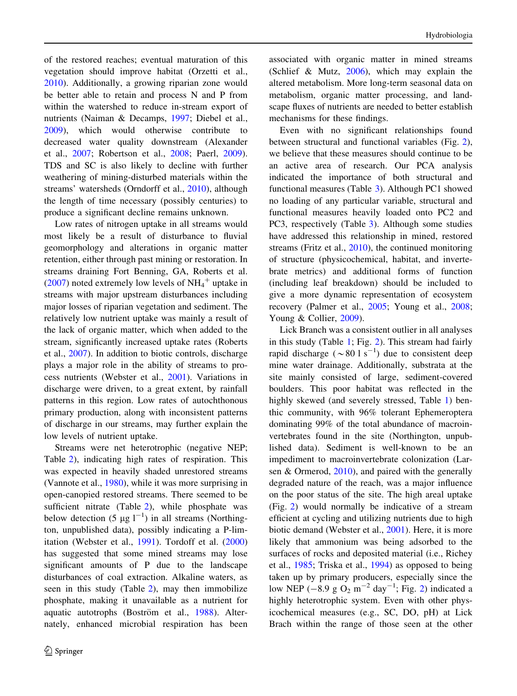of the restored reaches; eventual maturation of this vegetation should improve habitat (Orzetti et al., [2010\)](#page-11-0). Additionally, a growing riparian zone would be better able to retain and process N and P from within the watershed to reduce in-stream export of nutrients (Naiman & Decamps, [1997;](#page-11-0) Diebel et al., [2009\)](#page-11-0), which would otherwise contribute to decreased water quality downstream (Alexander et al., [2007](#page-10-0); Robertson et al., [2008](#page-12-0); Paerl, [2009](#page-11-0)). TDS and SC is also likely to decline with further weathering of mining-disturbed materials within the streams' watersheds (Orndorff et al., [2010](#page-11-0)), although the length of time necessary (possibly centuries) to produce a significant decline remains unknown.

Low rates of nitrogen uptake in all streams would most likely be a result of disturbance to fluvial geomorphology and alterations in organic matter retention, either through past mining or restoration. In streams draining Fort Benning, GA, Roberts et al.  $(2007)$  $(2007)$  noted extremely low levels of NH<sub>4</sub><sup>+</sup> uptake in streams with major upstream disturbances including major losses of riparian vegetation and sediment. The relatively low nutrient uptake was mainly a result of the lack of organic matter, which when added to the stream, significantly increased uptake rates (Roberts et al., [2007\)](#page-12-0). In addition to biotic controls, discharge plays a major role in the ability of streams to process nutrients (Webster et al., [2001\)](#page-12-0). Variations in discharge were driven, to a great extent, by rainfall patterns in this region. Low rates of autochthonous primary production, along with inconsistent patterns of discharge in our streams, may further explain the low levels of nutrient uptake.

Streams were net heterotrophic (negative NEP; Table [2\)](#page-6-0), indicating high rates of respiration. This was expected in heavily shaded unrestored streams (Vannote et al., [1980\)](#page-12-0), while it was more surprising in open-canopied restored streams. There seemed to be sufficient nitrate (Table [2\)](#page-6-0), while phosphate was below detection (5  $\mu$ g l<sup>-1</sup>) in all streams (Northington, unpublished data), possibly indicating a P-limitation (Webster et al., [1991](#page-12-0)). Tordoff et al. ([2000\)](#page-12-0) has suggested that some mined streams may lose significant amounts of P due to the landscape disturbances of coal extraction. Alkaline waters, as seen in this study (Table [2\)](#page-6-0), may then immobilize phosphate, making it unavailable as a nutrient for aquatic autotrophs (Boström et al., [1988](#page-10-0)). Alternately, enhanced microbial respiration has been associated with organic matter in mined streams (Schlief & Mutz, [2006](#page-12-0)), which may explain the altered metabolism. More long-term seasonal data on metabolism, organic matter processing, and landscape fluxes of nutrients are needed to better establish mechanisms for these findings.

Even with no significant relationships found between structural and functional variables (Fig. [2](#page-7-0)), we believe that these measures should continue to be an active area of research. Our PCA analysis indicated the importance of both structural and functional measures (Table [3](#page-8-0)). Although PC1 showed no loading of any particular variable, structural and functional measures heavily loaded onto PC2 and PC3, respectively (Table [3\)](#page-8-0). Although some studies have addressed this relationship in mined, restored streams (Fritz et al., [2010](#page-11-0)), the continued monitoring of structure (physicochemical, habitat, and invertebrate metrics) and additional forms of function (including leaf breakdown) should be included to give a more dynamic representation of ecosystem recovery (Palmer et al., [2005;](#page-11-0) Young et al., [2008](#page-12-0); Young & Collier, [2009](#page-12-0)).

Lick Branch was a consistent outlier in all analyses in this study (Table [1](#page-3-0); Fig. [2\)](#page-7-0). This stream had fairly rapid discharge ( $\sim 80$  l s<sup>-1</sup>) due to consistent deep mine water drainage. Additionally, substrata at the site mainly consisted of large, sediment-covered boulders. This poor habitat was reflected in the highly skewed (and severely stressed, Table [1](#page-3-0)) benthic community, with 96% tolerant Ephemeroptera dominating 99% of the total abundance of macroinvertebrates found in the site (Northington, unpublished data). Sediment is well-known to be an impediment to macroinvertebrate colonization (Larsen & Ormerod, [2010](#page-11-0)), and paired with the generally degraded nature of the reach, was a major influence on the poor status of the site. The high areal uptake (Fig. [2](#page-7-0)) would normally be indicative of a stream efficient at cycling and utilizing nutrients due to high biotic demand (Webster et al., [2001](#page-12-0)). Here, it is more likely that ammonium was being adsorbed to the surfaces of rocks and deposited material (i.e., Richey et al., [1985](#page-12-0); Triska et al., [1994](#page-12-0)) as opposed to being taken up by primary producers, especially since the low NEP  $(-8.9 \text{ g O}_2 \text{ m}^{-2} \text{ day}^{-1}$  $(-8.9 \text{ g O}_2 \text{ m}^{-2} \text{ day}^{-1}$  $(-8.9 \text{ g O}_2 \text{ m}^{-2} \text{ day}^{-1}$ ; Fig. 2) indicated a highly heterotrophic system. Even with other physicochemical measures (e.g., SC, DO, pH) at Lick Brach within the range of those seen at the other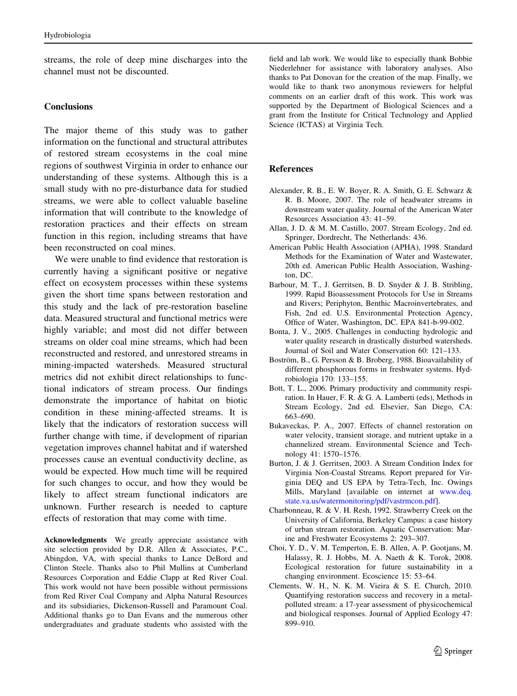<span id="page-10-0"></span>streams, the role of deep mine discharges into the channel must not be discounted.

## **Conclusions**

The major theme of this study was to gather information on the functional and structural attributes of restored stream ecosystems in the coal mine regions of southwest Virginia in order to enhance our understanding of these systems. Although this is a small study with no pre-disturbance data for studied streams, we were able to collect valuable baseline information that will contribute to the knowledge of restoration practices and their effects on stream function in this region, including streams that have been reconstructed on coal mines.

We were unable to find evidence that restoration is currently having a significant positive or negative effect on ecosystem processes within these systems given the short time spans between restoration and this study and the lack of pre-restoration baseline data. Measured structural and functional metrics were highly variable; and most did not differ between streams on older coal mine streams, which had been reconstructed and restored, and unrestored streams in mining-impacted watersheds. Measured structural metrics did not exhibit direct relationships to functional indicators of stream process. Our findings demonstrate the importance of habitat on biotic condition in these mining-affected streams. It is likely that the indicators of restoration success will further change with time, if development of riparian vegetation improves channel habitat and if watershed processes cause an eventual conductivity decline, as would be expected. How much time will be required for such changes to occur, and how they would be likely to affect stream functional indicators are unknown. Further research is needed to capture effects of restoration that may come with time.

Acknowledgments We greatly appreciate assistance with site selection provided by D.R. Allen & Associates, P.C., Abingdon, VA, with special thanks to Lance DeBord and Clinton Steele. Thanks also to Phil Mullins at Cumberland Resources Corporation and Eddie Clapp at Red River Coal. This work would not have been possible without permissions from Red River Coal Company and Alpha Natural Resources and its subsidiaries, Dickenson-Russell and Paramount Coal. Additional thanks go to Dan Evans and the numerous other undergraduates and graduate students who assisted with the

field and lab work. We would like to especially thank Bobbie Niederlehner for assistance with laboratory analyses. Also thanks to Pat Donovan for the creation of the map. Finally, we would like to thank two anonymous reviewers for helpful comments on an earlier draft of this work. This work was supported by the Department of Biological Sciences and a grant from the Institute for Critical Technology and Applied Science (ICTAS) at Virginia Tech.

#### References

- Alexander, R. B., E. W. Boyer, R. A. Smith, G. E. Schwarz & R. B. Moore, 2007. The role of headwater streams in downstream water quality. Journal of the American Water Resources Association 43: 41–59.
- Allan, J. D. & M. M. Castillo, 2007. Stream Ecology, 2nd ed. Springer, Dordrecht, The Netherlands: 436.
- American Public Health Association (APHA), 1998. Standard Methods for the Examination of Water and Wastewater, 20th ed. American Public Health Association, Washington, DC.
- Barbour, M. T., J. Gerritsen, B. D. Snyder & J. B. Stribling, 1999. Rapid Bioassessment Protocols for Use in Streams and Rivers; Periphyton, Benthic Macroinvertebrates, and Fish, 2nd ed. U.S. Environmental Protection Agency, Office of Water, Washington, DC. EPA 841-b-99-002.
- Bonta, J. V., 2005. Challenges in conducting hydrologic and water quality research in drastically disturbed watersheds. Journal of Soil and Water Conservation 60: 121–133.
- Boström, B., G. Persson & B. Broberg, 1988. Bioavailability of different phosphorous forms in freshwater systems. Hydrobiologia 170: 133–155.
- Bott, T. L., 2006. Primary productivity and community respiration. In Hauer, F. R. & G. A. Lamberti (eds), Methods in Stream Ecology, 2nd ed. Elsevier, San Diego, CA: 663–690.
- Bukaveckas, P. A., 2007. Effects of channel restoration on water velocity, transient storage, and nutrient uptake in a channelized stream. Environmental Science and Technology 41: 1570–1576.
- Burton, J. & J. Gerritsen, 2003. A Stream Condition Index for Virginia Non-Coastal Streams. Report prepared for Virginia DEQ and US EPA by Tetra-Tech, Inc. Owings Mills, Maryland [available on internet at [www.deq.](http://www.deq.state.va.us/watermonitoring/pdf/vastrmcon.pdf) [state.va.us/watermonitoring/pdf/vastrmcon.pdf](http://www.deq.state.va.us/watermonitoring/pdf/vastrmcon.pdf)].
- Charbonneau, R. & V. H. Resh, 1992. Strawberry Creek on the University of California, Berkeley Campus: a case history of urban stream restoration. Aquatic Conservation: Marine and Freshwater Ecosystems 2: 293–307.
- Choi, Y. D., V. M. Temperton, E. B. Allen, A. P. Gootjans, M. Halassy, R. J. Hobbs, M. A. Naeth & K. Torok, 2008. Ecological restoration for future sustainability in a changing environment. Ecoscience 15: 53–64.
- Clements, W. H., N. K. M. Vieira & S. E. Church, 2010. Quantifying restoration success and recovery in a metalpolluted stream: a 17-year assessment of physicochemical and biological responses. Journal of Applied Ecology 47: 899–910.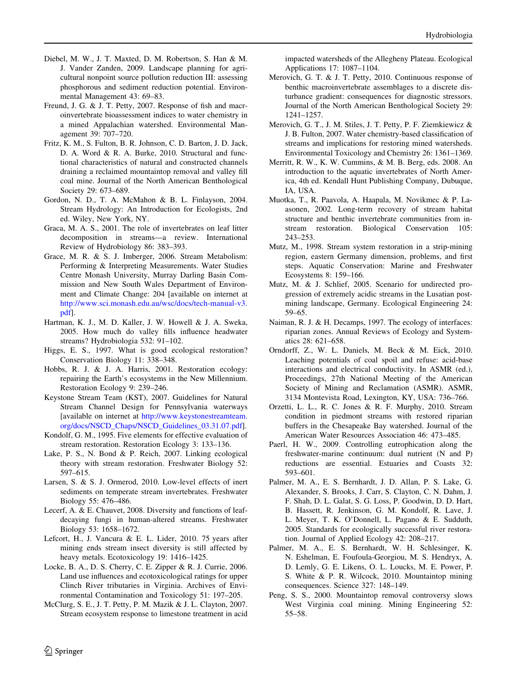- <span id="page-11-0"></span>Diebel, M. W., J. T. Maxted, D. M. Robertson, S. Han & M. J. Vander Zanden, 2009. Landscape planning for agricultural nonpoint source pollution reduction III: assessing phosphorous and sediment reduction potential. Environmental Management 43: 69–83.
- Freund, J. G. & J. T. Petty, 2007. Response of fish and macroinvertebrate bioassessment indices to water chemistry in a mined Appalachian watershed. Environmental Management 39: 707–720.
- Fritz, K. M., S. Fulton, B. R. Johnson, C. D. Barton, J. D. Jack, D. A. Word & R. A. Burke, 2010. Structural and functional characteristics of natural and constructed channels draining a reclaimed mountaintop removal and valley fill coal mine. Journal of the North American Benthological Society 29: 673–689.
- Gordon, N. D., T. A. McMahon & B. L. Finlayson, 2004. Stream Hydrology: An Introduction for Ecologists, 2nd ed. Wiley, New York, NY.
- Graca, M. A. S., 2001. The role of invertebrates on leaf litter decomposition in streams—a review. International Review of Hydrobiology 86: 383–393.
- Grace, M. R. & S. J. Imberger, 2006. Stream Metabolism: Performing & Interpreting Measurements. Water Studies Centre Monash University, Murray Darling Basin Commission and New South Wales Department of Environment and Climate Change: 204 [available on internet at [http://www.sci.monash.edu.au/wsc/docs/tech-manual-v3.](http://www.sci.monash.edu.au/wsc/docs/tech-manual-v3.pdf) [pdf](http://www.sci.monash.edu.au/wsc/docs/tech-manual-v3.pdf)].
- Hartman, K. J., M. D. Kaller, J. W. Howell & J. A. Sweka, 2005. How much do valley fills influence headwater streams? Hydrobiologia 532: 91–102.
- Higgs, E. S., 1997. What is good ecological restoration? Conservation Biology 11: 338–348.
- Hobbs, R. J. & J. A. Harris, 2001. Restoration ecology: repairing the Earth's ecosystems in the New Millennium. Restoration Ecology 9: 239–246.
- Keystone Stream Team (KST), 2007. Guidelines for Natural Stream Channel Design for Pennsylvania waterways [available on internet at [http://www.keystonestreamteam.](http://www.keystonestreamteam.org/docs/NSCD_Chaps/NSCD_Guidelines_03.31.07.pdf) [org/docs/NSCD\\_Chaps/NSCD\\_Guidelines\\_03.31.07.pdf](http://www.keystonestreamteam.org/docs/NSCD_Chaps/NSCD_Guidelines_03.31.07.pdf)].
- Kondolf, G. M., 1995. Five elements for effective evaluation of stream restoration. Restoration Ecology 3: 133–136.
- Lake, P. S., N. Bond & P. Reich, 2007. Linking ecological theory with stream restoration. Freshwater Biology 52: 597–615.
- Larsen, S. & S. J. Ormerod, 2010. Low-level effects of inert sediments on temperate stream invertebrates. Freshwater Biology 55: 476–486.
- Lecerf, A. & E. Chauvet, 2008. Diversity and functions of leafdecaying fungi in human-altered streams. Freshwater Biology 53: 1658–1672.
- Lefcort, H., J. Vancura & E. L. Lider, 2010. 75 years after mining ends stream insect diversity is still affected by heavy metals. Ecotoxicology 19: 1416–1425.
- Locke, B. A., D. S. Cherry, C. E. Zipper & R. J. Currie, 2006. Land use influences and ecotoxicological ratings for upper Clinch River tributaries in Virginia. Archives of Environmental Contamination and Toxicology 51: 197–205.
- McClurg, S. E., J. T. Petty, P. M. Mazik & J. L. Clayton, 2007. Stream ecosystem response to limestone treatment in acid

impacted watersheds of the Allegheny Plateau. Ecological Applications 17: 1087–1104.

- Merovich, G. T. & J. T. Petty, 2010. Continuous response of benthic macroinvertebrate assemblages to a discrete disturbance gradient: consequences for diagnostic stressors. Journal of the North American Benthological Society 29: 1241–1257.
- Merovich, G. T., J. M. Stiles, J. T. Petty, P. F. Ziemkiewicz & J. B. Fulton, 2007. Water chemistry-based classification of streams and implications for restoring mined watersheds. Environmental Toxicology and Chemistry 26: 1361–1369.
- Merritt, R. W., K. W. Cummins, & M. B. Berg, eds. 2008. An introduction to the aquatic invertebrates of North America, 4th ed. Kendall Hunt Publishing Company, Dubuque, IA, USA.
- Muotka, T., R. Paavola, A. Haapala, M. Novikmec & P. Laasonen, 2002. Long-term recovery of stream habitat structure and benthic invertebrate communities from instream restoration. Biological Conservation 105: 243–253.
- Mutz, M., 1998. Stream system restoration in a strip-mining region, eastern Germany dimension, problems, and first steps. Aquatic Conservation: Marine and Freshwater Ecosystems 8: 159–166.
- Mutz, M. & J. Schlief, 2005. Scenario for undirected progression of extremely acidic streams in the Lusatian postmining landscape, Germany. Ecological Engineering 24: 59–65.
- Naiman, R. J. & H. Decamps, 1997. The ecology of interfaces: riparian zones. Annual Reviews of Ecology and Systematics 28: 621–658.
- Orndorff, Z., W. L. Daniels, M. Beck & M. Eick, 2010. Leaching potentials of coal spoil and refuse: acid-base interactions and electrical conductivity. In ASMR (ed.), Proceedings, 27th National Meeting of the American Society of Mining and Reclamation (ASMR). ASMR, 3134 Montevista Road, Lexington, KY, USA: 736–766.
- Orzetti, L. L., R. C. Jones & R. F. Murphy, 2010. Stream condition in piedmont streams with restored riparian buffers in the Chesapeake Bay watershed. Journal of the American Water Resources Association 46: 473–485.
- Paerl, H. W., 2009. Controlling eutrophication along the freshwater-marine continuum: dual nutrient (N and P) reductions are essential. Estuaries and Coasts 32: 593–601.
- Palmer, M. A., E. S. Bernhardt, J. D. Allan, P. S. Lake, G. Alexander, S. Brooks, J. Carr, S. Clayton, C. N. Dahm, J. F. Shah, D. L. Galat, S. G. Loss, P. Goodwin, D. D. Hart, B. Hassett, R. Jenkinson, G. M. Kondolf, R. Lave, J. L. Meyer, T. K. O'Donnell, L. Pagano & E. Sudduth, 2005. Standards for ecologically successful river restoration. Journal of Applied Ecology 42: 208–217.
- Palmer, M. A., E. S. Bernhardt, W. H. Schlesinger, K. N. Eshelman, E. Foufoula-Georgiou, M. S. Hendryx, A. D. Lemly, G. E. Likens, O. L. Loucks, M. E. Power, P. S. White & P. R. Wilcock, 2010. Mountaintop mining consequences. Science 327: 148–149.
- Peng, S. S., 2000. Mountaintop removal controversy slows West Virginia coal mining. Mining Engineering 52: 55–58.